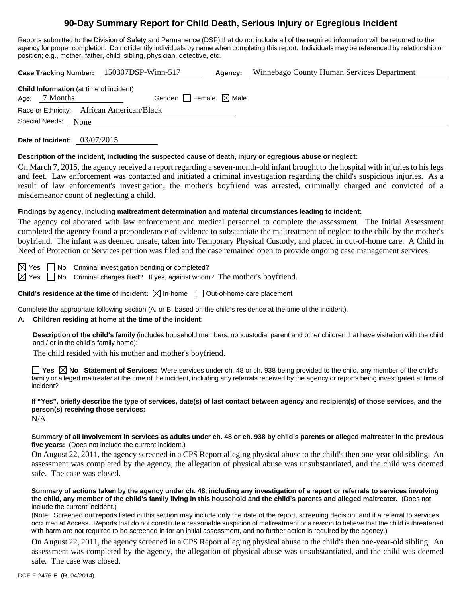# **90-Day Summary Report for Child Death, Serious Injury or Egregious Incident**

Reports submitted to the Division of Safety and Permanence (DSP) that do not include all of the required information will be returned to the agency for proper completion. Do not identify individuals by name when completing this report. Individuals may be referenced by relationship or position; e.g., mother, father, child, sibling, physician, detective, etc.

**Case Tracking Number:** 150307DSP-Winn-517 **Agency:** Winnebago County Human Services Department

| <b>Child Information</b> (at time of incident) |               |                                           |  |  |  |  |
|------------------------------------------------|---------------|-------------------------------------------|--|--|--|--|
|                                                | Age: 7 Months | Gender: $\Box$ Female $\boxtimes$ Male    |  |  |  |  |
|                                                |               | Race or Ethnicity: African American/Black |  |  |  |  |

Special Needs: None

**Date of Incident:** 03/07/2015

#### **Description of the incident, including the suspected cause of death, injury or egregious abuse or neglect:**

On March 7, 2015, the agency received a report regarding a seven-month-old infant brought to the hospital with injuries to his legs and feet. Law enforcement was contacted and initiated a criminal investigation regarding the child's suspicious injuries. As a result of law enforcement's investigation, the mother's boyfriend was arrested, criminally charged and convicted of a misdemeanor count of neglecting a child.

#### **Findings by agency, including maltreatment determination and material circumstances leading to incident:**

The agency collaborated with law enforcement and medical personnel to complete the assessment. The Initial Assessment completed the agency found a preponderance of evidence to substantiate the maltreatment of neglect to the child by the mother's boyfriend. The infant was deemed unsafe, taken into Temporary Physical Custody, and placed in out-of-home care. A Child in Need of Protection or Services petition was filed and the case remained open to provide ongoing case management services.

 $\boxtimes$  Yes  $\Box$  No Criminal investigation pending or completed?

 $\boxtimes$  Yes  $\Box$  No Criminal charges filed? If yes, against whom? The mother's boyfriend.

**Child's residence at the time of incident:**  $\boxtimes$  In-home  $\Box$  Out-of-home care placement

Complete the appropriate following section (A. or B. based on the child's residence at the time of the incident).

#### **A. Children residing at home at the time of the incident:**

**Description of the child's family** (includes household members, noncustodial parent and other children that have visitation with the child and / or in the child's family home):

The child resided with his mother and mother's boyfriend.

**Yes No Statement of Services:** Were services under ch. 48 or ch. 938 being provided to the child, any member of the child's family or alleged maltreater at the time of the incident, including any referrals received by the agency or reports being investigated at time of incident?

## **If "Yes", briefly describe the type of services, date(s) of last contact between agency and recipient(s) of those services, and the person(s) receiving those services:**

N/A

#### **Summary of all involvement in services as adults under ch. 48 or ch. 938 by child's parents or alleged maltreater in the previous five years:** (Does not include the current incident.)

On August 22, 2011, the agency screened in a CPS Report alleging physical abuse to the child's then one-year-old sibling. An assessment was completed by the agency, the allegation of physical abuse was unsubstantiated, and the child was deemed safe. The case was closed.

#### **Summary of actions taken by the agency under ch. 48, including any investigation of a report or referrals to services involving the child, any member of the child's family living in this household and the child's parents and alleged maltreater.** (Does not include the current incident.)

(Note: Screened out reports listed in this section may include only the date of the report, screening decision, and if a referral to services occurred at Access. Reports that do not constitute a reasonable suspicion of maltreatment or a reason to believe that the child is threatened with harm are not required to be screened in for an initial assessment, and no further action is required by the agency.)

On August 22, 2011, the agency screened in a CPS Report alleging physical abuse to the child's then one-year-old sibling. An assessment was completed by the agency, the allegation of physical abuse was unsubstantiated, and the child was deemed safe. The case was closed.